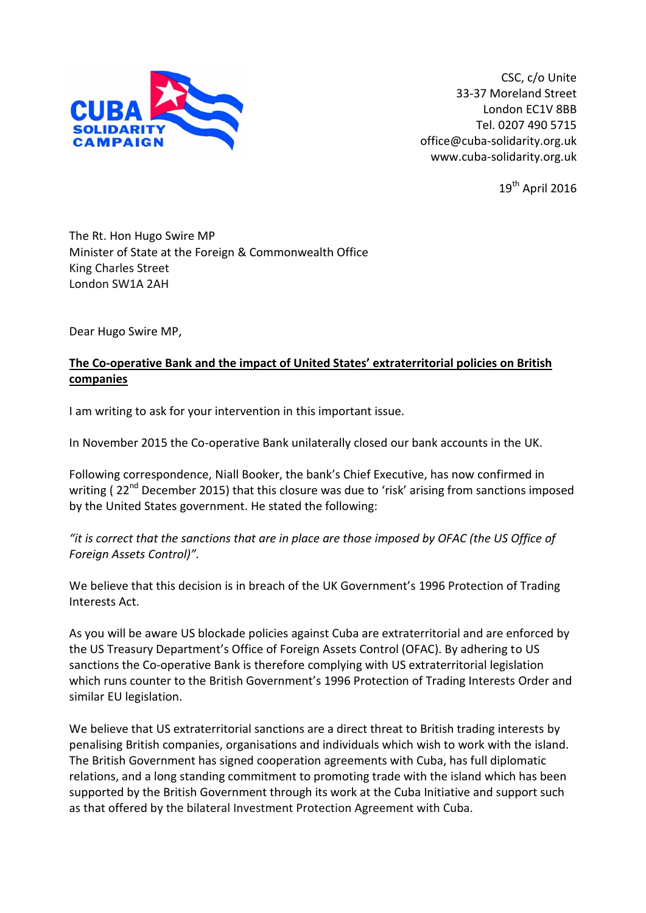

CSC, c/o Unite 33-37 Moreland Street London EC1V 8BB Tel. 0207 490 5715 office@cuba-solidarity.org.uk www.cuba-solidarity.org.uk

 $19^{th}$  April 2016

The Rt. Hon Hugo Swire MP Minister of State at the Foreign & Commonwealth Office King Charles Street London SW1A 2AH

Dear Hugo Swire MP,

## **The Co-operative Bank and the impact of United States' extraterritorial policies on British companies**

I am writing to ask for your intervention in this important issue.

In November 2015 the Co-operative Bank unilaterally closed our bank accounts in the UK.

Following correspondence, Niall Booker, the bank's Chief Executive, has now confirmed in writing ( $22<sup>nd</sup>$  December 2015) that this closure was due to 'risk' arising from sanctions imposed by the United States government. He stated the following:

## *"it is correct that the sanctions that are in place are those imposed by OFAC (the US Office of Foreign Assets Control)".*

We believe that this decision is in breach of the UK Government's 1996 Protection of Trading Interests Act.

As you will be aware US blockade policies against Cuba are extraterritorial and are enforced by the US Treasury Department's Office of Foreign Assets Control (OFAC). By adhering to US sanctions the Co-operative Bank is therefore complying with US extraterritorial legislation which runs counter to the British Government's 1996 Protection of Trading Interests Order and similar EU legislation.

We believe that US extraterritorial sanctions are a direct threat to British trading interests by penalising British companies, organisations and individuals which wish to work with the island. The British Government has signed cooperation agreements with Cuba, has full diplomatic relations, and a long standing commitment to promoting trade with the island which has been supported by the British Government through its work at the Cuba Initiative and support such as that offered by the bilateral Investment Protection Agreement with Cuba.